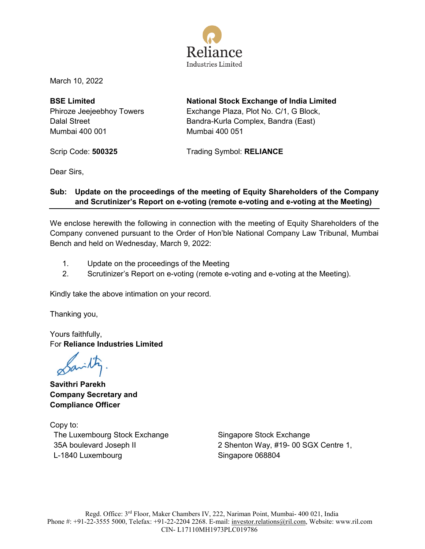

March 10, 2022

**BSE Limited** Phiroze Jeejeebhoy Towers Dalal Street Mumbai 400 001

**National Stock Exchange of India Limited** Exchange Plaza, Plot No. C/1, G Block, Bandra-Kurla Complex, Bandra (East) Mumbai 400 051

Scrip Code: **500325** Trading Symbol: **RELIANCE**

Dear Sirs,

### **Sub: Update on the proceedings of the meeting of Equity Shareholders of the Company and Scrutinizer's Report on e-voting (remote e-voting and e-voting at the Meeting)**

We enclose herewith the following in connection with the meeting of Equity Shareholders of the Company convened pursuant to the Order of Hon'ble National Company Law Tribunal, Mumbai Bench and held on Wednesday, March 9, 2022:

- 1. Update on the proceedings of the Meeting
- 2. Scrutinizer's Report on e-voting (remote e-voting and e-voting at the Meeting).

Kindly take the above intimation on your record.

Thanking you,

Yours faithfully, For **Reliance Industries Limited**

Savilty

**Savithri Parekh Company Secretary and Compliance Officer** 

Copy to: The Luxembourg Stock Exchange 35A boulevard Joseph II L-1840 Luxembourg

Singapore Stock Exchange 2 Shenton Way, #19- 00 SGX Centre 1, Singapore 068804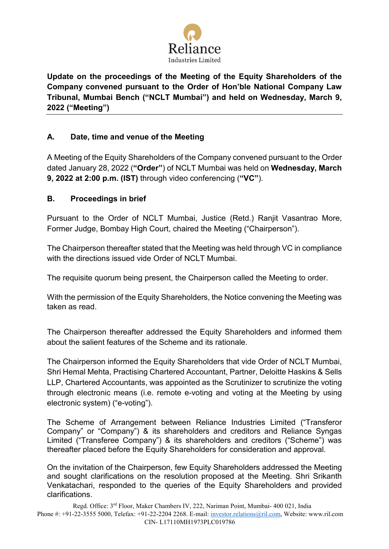

**Update on the proceedings of the Meeting of the Equity Shareholders of the Company convened pursuant to the Order of Hon'ble National Company Law Tribunal, Mumbai Bench ("NCLT Mumbai") and held on Wednesday, March 9, 2022 ("Meeting")** 

# **A. Date, time and venue of the Meeting**

A Meeting of the Equity Shareholders of the Company convened pursuant to the Order dated January 28, 2022 (**"Order"**) of NCLT Mumbai was held on **Wednesday, March 9, 2022 at 2:00 p.m. (IST)** through video conferencing (**"VC"**).

## **B. Proceedings in brief**

Pursuant to the Order of NCLT Mumbai, Justice (Retd.) Ranjit Vasantrao More, Former Judge, Bombay High Court, chaired the Meeting ("Chairperson").

The Chairperson thereafter stated that the Meeting was held through VC in compliance with the directions issued vide Order of NCLT Mumbai

The requisite quorum being present, the Chairperson called the Meeting to order.

With the permission of the Equity Shareholders, the Notice convening the Meeting was taken as read.

The Chairperson thereafter addressed the Equity Shareholders and informed them about the salient features of the Scheme and its rationale.

The Chairperson informed the Equity Shareholders that vide Order of NCLT Mumbai, Shri Hemal Mehta, Practising Chartered Accountant, Partner, Deloitte Haskins & Sells LLP, Chartered Accountants, was appointed as the Scrutinizer to scrutinize the voting through electronic means (i.e. remote e-voting and voting at the Meeting by using electronic system) ("e-voting").

The Scheme of Arrangement between Reliance Industries Limited ("Transferor Company" or "Company") & its shareholders and creditors and Reliance Syngas Limited ("Transferee Company") & its shareholders and creditors ("Scheme") was thereafter placed before the Equity Shareholders for consideration and approval.

On the invitation of the Chairperson, few Equity Shareholders addressed the Meeting and sought clarifications on the resolution proposed at the Meeting. Shri Srikanth Venkatachari, responded to the queries of the Equity Shareholders and provided clarifications.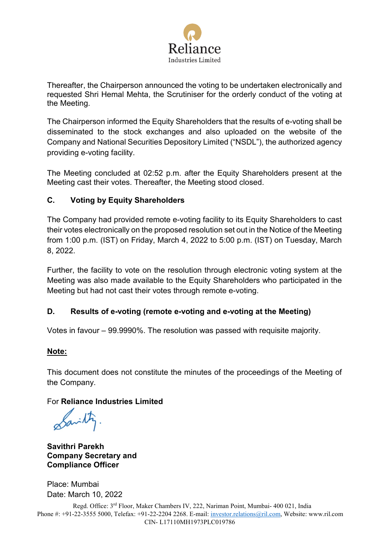

Thereafter, the Chairperson announced the voting to be undertaken electronically and requested Shri Hemal Mehta, the Scrutiniser for the orderly conduct of the voting at the Meeting.

The Chairperson informed the Equity Shareholders that the results of e-voting shall be disseminated to the stock exchanges and also uploaded on the website of the Company and National Securities Depository Limited ("NSDL"), the authorized agency providing e-voting facility.

The Meeting concluded at 02:52 p.m. after the Equity Shareholders present at the Meeting cast their votes. Thereafter, the Meeting stood closed.

# **C. Voting by Equity Shareholders**

The Company had provided remote e-voting facility to its Equity Shareholders to cast their votes electronically on the proposed resolution set out in the Notice of the Meeting from 1:00 p.m. (IST) on Friday, March 4, 2022 to 5:00 p.m. (IST) on Tuesday, March 8, 2022.

Further, the facility to vote on the resolution through electronic voting system at the Meeting was also made available to the Equity Shareholders who participated in the Meeting but had not cast their votes through remote e-voting.

## **D. Results of e-voting (remote e-voting and e-voting at the Meeting)**

Votes in favour – 99.9990%. The resolution was passed with requisite majority.

## **Note:**

This document does not constitute the minutes of the proceedings of the Meeting of the Company.

## For **Reliance Industries Limited**

Savitty

**Savithri Parekh Company Secretary and Compliance Officer**

Place: Mumbai Date: March 10, 2022

Regd. Office: 3rd Floor, Maker Chambers IV, 222, Nariman Point, Mumbai- 400 021, India Phone #: +91-22-3555 5000, Telefax: +91-22-2204 2268. E-mail: [investor.relations@ril.com,](mailto:investor.relations@ril.com) Website: www.ril.com CIN- L17110MH1973PLC019786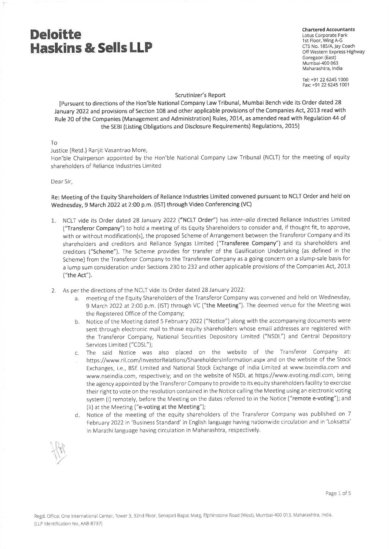**Chartered Accountants** Lotus Corporate Park 1st Floor, Wing A-G CTS No. 185/A, Jay Coach Off Western Express Highway Goregaon (East) Mumbai-400 063 Maharashtra, India

Tel: +91 22 6245 1000 Fax: +91 22 6245 1001

#### Scrutinizer's Report

[Pursuant to directions of the Hon'ble National Company Law Tribunal, Mumbai Bench vide its Order dated 28 January 2022 and provisions of Section 108 and other applicable provisions of the Companies Act, 2013 read with Rule 20 of the Companies (Management and Administration) Rules, 2014, as amended read with Regulation 44 of the SEBI (Listing Obligations and Disclosure Requirements) Regulations, 2015]

To

Justice (Retd.) Ranjit Vasantrao More,

Hon'ble Chairperson appointed by the Hon'ble National Company Law Tribunal (NCLT) for the meeting of equity shareholders of Reliance Industries Limited

Dear Sir,

Re: Meeting of the Equity Shareholders of Reliance Industries Limited convened pursuant to NCLT Order and held on Wednesday, 9 March 2022 at 2:00 p.m. (IST) through Video Conferencing (VC)

- 1: NCLT vide its Order dated 28 January 2022 ("NCLT Order") has inter-alia directed Reliance Industries Limited ("Transferor Company") to hold a meeting of its Equity Shareholders to consider and, if thought fit, to approve, with or without modification(s), the proposed Scheme of Arrangement between the Transferor Company and its shareholders and creditors and Reliance Syngas Limited ("Transferee Company") and its shareholders and creditors ("Scheme"). The Scheme provides for transfer of the Gasification Undertaking (as defined in the Scheme) from the Transferor Company to the Transferee Company as a going concern on a slump-sale basis for a lump sum consideration under Sections 230 to 232 and other applicable provisions of the Companies Act, 2013 ("the Act").
- 2. As per the directions of the NCLT vide its Order dated 28 January 2022:
	- meeting of the Equity Shareholders of the Transferor Company was convened and held on Wednesday, 9 March 2022 at 2:00 p.m. (IST) through VC ("the Meeting"). The deemed venue for the Meeting was the Registered Office of the Company;
	- b. Notice of the Meeting dated 5 February 2022 ("Notice") along with the accompanying documents were sent through electronic mail to those equity shareholders whose email addresses are registered with the Transferor Company, National Securities Depository Limited ("NSDL") and Central Depository Services Limited ("CDSL");
	- The said Notice was also placed on the website of the Transferor Company at: C.
	- https://www.ril.com/InvestorRelations/ShareholdersInformation.aspx and on the website of the Stock Exchanges, i.e., BSE Limited and National Stock Exchange of India Limited at www.bseindia.com and www.nseindia.com, respectively; and on the website of NSDL at https://www.evoting.nsdl.com, being the agency appointed by the Transferor Company to provide to its equity shareholders facility to exercise their right to vote on the resolution contained in the Notice calling the Meeting using an electronic voting system (i) remotely, before the Meeting on the dates referred to in the Notice ("remote e-voting"); and (ii) at the Meeting ("e-voting at the Meeting");
	- d. Notice of the meeting of the equity shareholders of the Transferor Company was published on 7 February 2022 in 'Business Standard' in English language having nationwide circulation and in 'Loksatta' in Marathi language having circulation in Maharashtra, respectively.

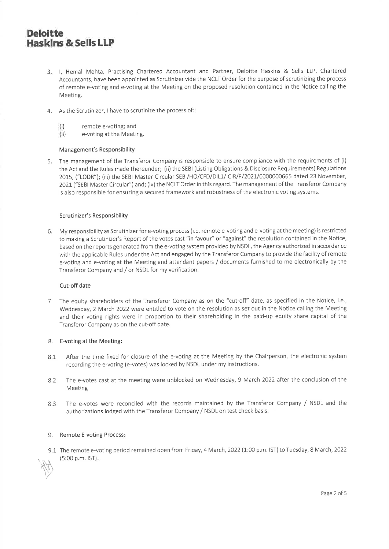- 3. I, Hemal Mehta, Practising Chartered Accountant and Partner, Deloitte Haskins & Sells LLP, Chartered Accountants, have been appointed as Scrutinizer vide the NCLT Order for the purpose of scrutinizing the process of remote e-voting and e-voting at the Meeting on the proposed resolution contained in the Notice calling the Meeting.
- 4. As the Scrutinizer, I have to scrutinize the process of
	- remote e-voting; and  $(i)$
	- $(ii)$ e-voting at the Meeting.

#### Management's Responsibility

5. The management of the Transferor Company is responsible to ensure compliance with the requirements of (i) the Act and the Rules made thereunder; (ii) the SEBI (Listing Obligations & Disclosure Requirements) Regulations 2015, ("LODR"); (iii) the SEBI Master Circular SEBI/HO/CFD/DIL1/ CIR/P/2021/0000000665 dated 23 November, 2021 ("SEBI Master Circular") and; (iv) the NCLT Order in this regard. The management of the Transferor Company is also responsible for ensuring a secured framework and robustness of the electronic voting systems.

#### Scrutinizer's Responsibility

6. My responsibility as Scrutinizer for e-voting process (i.e. remote e-voting and e-voting at the meeting) is restricted to making a Scrutinizer's Report of the votes cast "in favour" or "against" the resolution contained in the Notice, based on the reports generated from the e-voting system provided by NSDL, the Agency authorized in accordance with the applicable Rules under the Act and engaged by the Transferor Company to provide the facility of remote e-voting and e-voting at the Meeting and attendant papers / documents furnished to me electronically by the Transferor Company and / or NSDL for my verification.

#### Cut-off date

7. The equity shareholders of the Transferor Company as on the "cut-off" date, as specified in the Notice, i.e., Wednesday, 2 March 2022 were entitled to vote on the resolution as set out in the Notice calling the Meeting and their voting rights were in proportion to their shareholding in the paid-up equity share capital of the Transferor Company as on the cut-off date.

#### 8. E-voting at the Meeting:

- After the time fixed for closure of the e-voting at the Meeting by the Chairperson, the electronic system 8.1 recording the e-voting (e-votes) was locked by NSDL under my instructions.
- The e-votes cast at the meeting were unblocked on Wednesday, 9 March 2022 after the conclusion of the 8.2 Meeting
- 8.3 The e-votes were reconciled with the records maintained by the Transferor Company / NSDL and the authorizations lodged with the Transferor Company / NSDL on test check basis.

#### 9. Remote E-voting Process:

9.1 The remote e-voting period remained open from Friday, 4 March, 2022 (1:00 p.m. IST) to Tuesday, 8 March, 2022 (5:00 p.m. IST).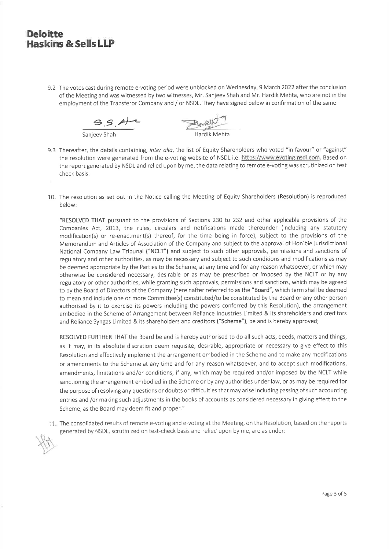9.2 The votes cast during remote e-voting period were unblocked on Wednesday, 9 March 2022 after the conclusion of the Meeting and was witnessed by two witnesses, Mr. Sanjeev Shah and Mr. Hardik Mehta, who are not in the employment of the Transferor Company and / or NSDL. They have signed below in confirmation of the same

 $9.5.41$ 

Boyell

- 9.3 Thereafter, the details containing, inter alia, the list of Equity Shareholders who voted "in favour" or "against" the resolution were generated from the e-voting website of NSDL i.e. https://www.evoting.nsdl.com. Based on the report generated by NSDL and relied upon by me, the data relating to remote e-voting was scrutinized on test check basis.
- 10. The resolution as set out in the Notice calling the Meeting of Equity Shareholders (Resolution) is reproduced below:-

"RESOLVED THAT pursuant to the provisions of Sections 230 to 232 and other applicable provisions of the Companies Act, 2013, the rules, circulars and notifications made thereunder (including any statutory modification(s) or re-enactment(s) thereof, for the time being in force), subject to the provisions of the Memorandum and Articles of Association of the Company and subject to the approval of Hon'ble jurisdictional National Company Law Tribunal ("NCLT") and subject to such other approvals, permissions and sanctions of regulatory and other authorities, as may be necessary and subject to such conditions and modifications as may be deemed appropriate by the Parties to the Scheme, at any time and for any reason whatsoever, or which may otherwise be considered necessary, desirable or as may be prescribed or imposed by the NCLT or by any regulatory or other authorities, while granting such approvals, permissions and sanctions, which may be agreed to by the Board of Directors of the Company (hereinafter referred to as the "Board", which term shall be deemed to mean and include one or more Committee(s) constituted/to be constituted by the Board or any other person authorised by it to exercise its powers including the powers conferred by this Resolution), the arrangement embodied in the Scheme of Arrangement between Reliance Industries Limited & its shareholders and creditors and Reliance Syngas Limited & its shareholders and creditors ("Scheme"), be and is hereby approved;

RESOLVED FURTHER THAT the Board be and is hereby authorised to do all such acts, deeds, matters and things, as it may, in its absolute discretion deem requisite, desirable, appropriate or necessary to give effect to this Resolution and effectively implement the arrangement embodied in the Scheme and to make any modifications or amendments to the Scheme at any time and for any reason whatsoever, and to accept such modifications, amendments, limitations and/or conditions, if any, which may be required and/or imposed by the NCLT while sanctioning the arrangement embodied in the Scheme or by any authorities under law, or as may be required for the purpose of resolving any questions or doubts or difficulties that may arise including passing of such accounting entries and /or making such adjustments in the books of accounts as considered necessary in giving effect to the Scheme, as the Board may deem fit and proper."

11. The consolidated results of remote e-voting and e-voting at the Meeting, on the Resolution, based on the reports generated by NSDL, scrutinized on test-check basis and relied upon by me, are as under:-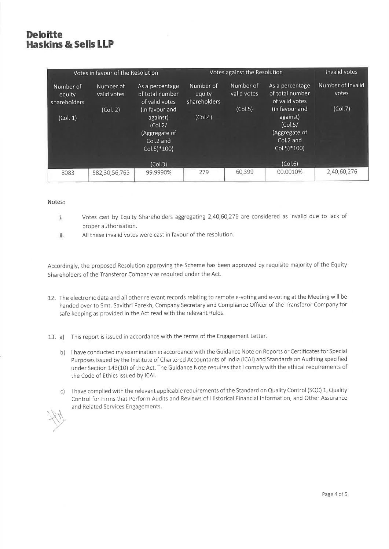| Votes in favour of the Resolution   |                          |                                                                                                  | Votes against the Resolution        |                          |                                                                                                  | Invalid votes              |
|-------------------------------------|--------------------------|--------------------------------------------------------------------------------------------------|-------------------------------------|--------------------------|--------------------------------------------------------------------------------------------------|----------------------------|
| Number of<br>equity<br>shareholders | Number of<br>valid votes | As a percentage<br>of total number<br>of valid votes                                             | Number of<br>equity<br>shareholders | Number of<br>valid votes | As a percentage<br>of total number<br>of valid votes                                             | Number of Invalid<br>votes |
| (Col. 1)                            | (Col. 2)                 | (in favour and<br>against)<br>(Col.2/<br>(Aggregate of<br>Col.2 and<br>$Col.5$ <sup>*</sup> 100) | (Col.4)                             | (Col.5)                  | (in favour and<br>against)<br>(Col.5/<br>(Aggregate of<br>Col.2 and<br>$Col.5$ <sup>*</sup> 100) | (Col.7)                    |
|                                     |                          | (Col.3)                                                                                          |                                     |                          | (Col.6)                                                                                          |                            |
| 8083                                | 582,30,56,765            | 99.9990%                                                                                         | 279                                 | 60,399                   | 00.0010%                                                                                         | 2,40,60,276                |

#### Notes:

- Votes cast by Equity Shareholders aggregating 2,40,60,276 are considered as invalid due to lack of  $1.$ proper authorisation.
- ii. All these invalid votes were cast in favour of the resolution.

Accordingly, the proposed Resolution approving the Scheme has been approved by requisite majority of the Equity Shareholders of the Transferor Company as required under the Act.

12. The electronic data and all other relevant records relating to remote e-voting and e-voting at the Meeting will be handed over to Smt. Savithri Parekh, Company Secretary and Compliance Officer of the Transferor Company for safe keeping as provided in the Act read with the relevant Rules.

13. a) This report is issued in accordance with the terms of the Engagement Letter.

- b) I have conducted my examination in accordance with the Guidance Note on Reports or Certificates for Special Purposes issued by the Institute of Chartered Accountants of India (ICAI) and Standards on Auditing specified under Section 143(10) of the Act. The Guidance Note requires that I comply with the ethical requirements of the Code of Ethics issued by ICAI.
- c) I have complied with the relevant applicable requirements of the Standard on Quality Control (SQC) 1, Quality Control for Firms that Perform Audits and Reviews of Historical Financial Information, and Other Assurance and Related Services Engagements.